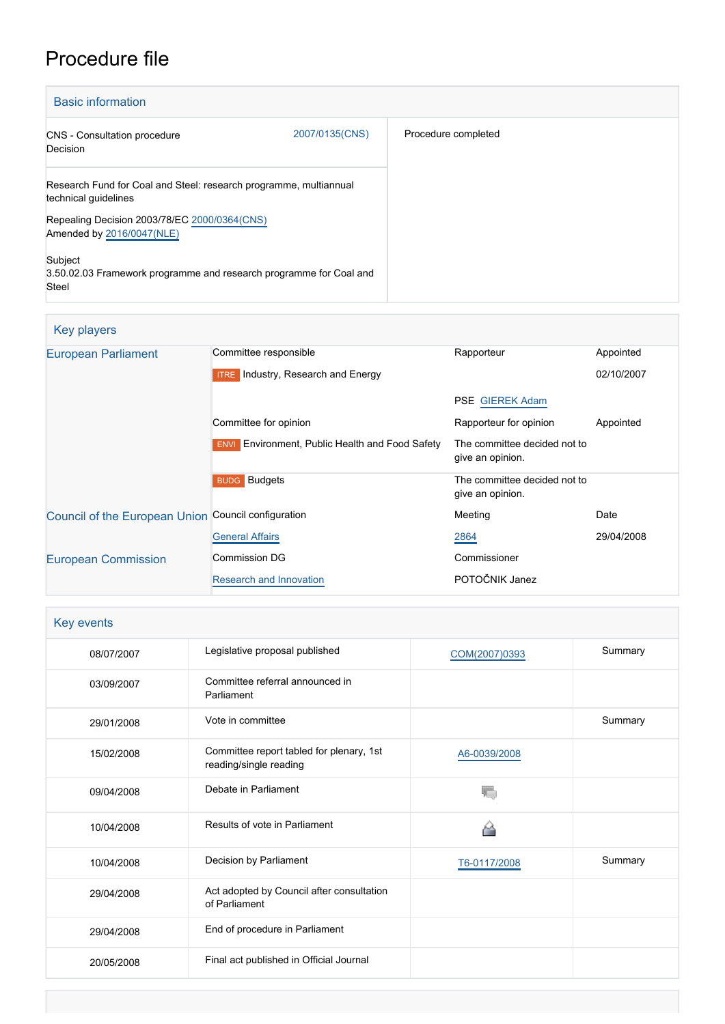## Procedure file

| <b>Basic information</b>                                                                                                                                               |                |                     |
|------------------------------------------------------------------------------------------------------------------------------------------------------------------------|----------------|---------------------|
| <b>CNS</b> - Consultation procedure<br>Decision                                                                                                                        | 2007/0135(CNS) | Procedure completed |
| Research Fund for Coal and Steel: research programme, multiannual<br>technical guidelines<br>Repealing Decision 2003/78/EC 2000/0364(CNS)<br>Amended by 2016/0047(NLE) |                |                     |
| Subject<br>3.50.02.03 Framework programme and research programme for Coal and<br>Steel                                                                                 |                |                     |

## Key players

| <b>European Parliament</b>                          | Committee responsible                                  | Rapporteur                                       | Appointed  |
|-----------------------------------------------------|--------------------------------------------------------|--------------------------------------------------|------------|
|                                                     | <b>ITRE</b> Industry, Research and Energy              |                                                  | 02/10/2007 |
|                                                     |                                                        | <b>PSE GIEREK Adam</b>                           |            |
|                                                     | Committee for opinion                                  | Rapporteur for opinion                           | Appointed  |
|                                                     | <b>ENVI</b> Environment, Public Health and Food Safety | The committee decided not to<br>give an opinion. |            |
|                                                     | <b>BUDG</b> Budgets                                    | The committee decided not to<br>give an opinion. |            |
| Council of the European Union Council configuration |                                                        | Meeting                                          | Date       |
|                                                     | <b>General Affairs</b>                                 | 2864                                             | 29/04/2008 |
| <b>European Commission</b>                          | Commission DG                                          | Commissioner                                     |            |
|                                                     | Research and Innovation                                | POTOČNIK Janez                                   |            |

| Key events |                                                                    |               |         |
|------------|--------------------------------------------------------------------|---------------|---------|
| 08/07/2007 | Legislative proposal published                                     | COM(2007)0393 | Summary |
| 03/09/2007 | Committee referral announced in<br>Parliament                      |               |         |
| 29/01/2008 | Vote in committee                                                  |               | Summary |
| 15/02/2008 | Committee report tabled for plenary, 1st<br>reading/single reading | A6-0039/2008  |         |
| 09/04/2008 | Debate in Parliament                                               |               |         |
| 10/04/2008 | Results of vote in Parliament                                      |               |         |
| 10/04/2008 | Decision by Parliament                                             | T6-0117/2008  | Summary |
| 29/04/2008 | Act adopted by Council after consultation<br>of Parliament         |               |         |
| 29/04/2008 | End of procedure in Parliament                                     |               |         |
| 20/05/2008 | Final act published in Official Journal                            |               |         |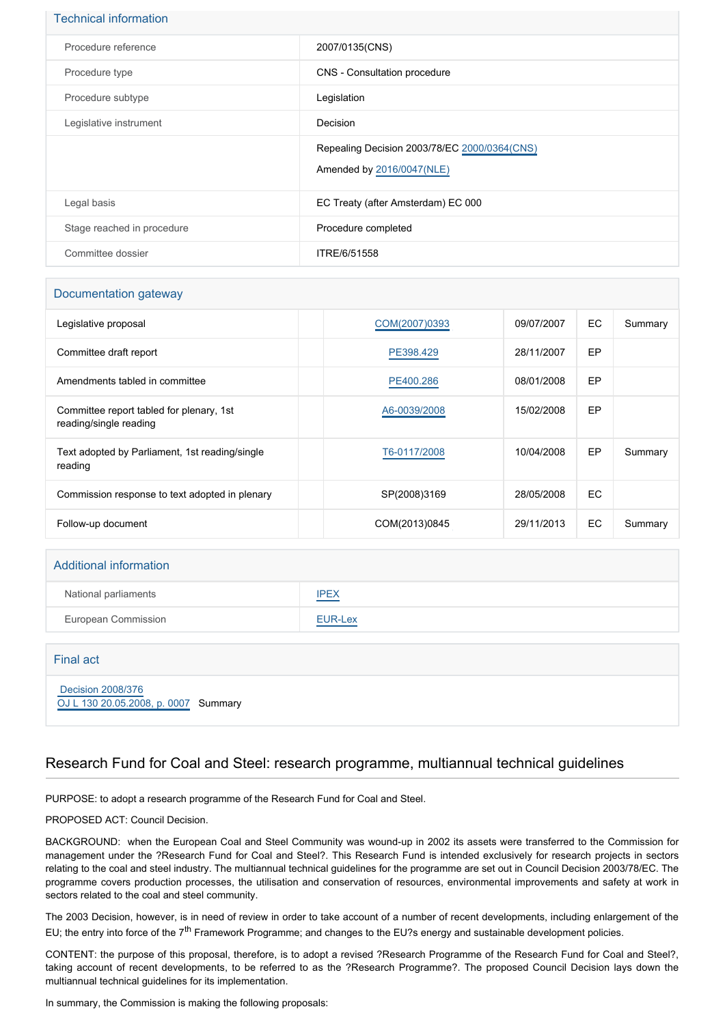| <b>Technical information</b> |                                                                           |
|------------------------------|---------------------------------------------------------------------------|
| Procedure reference          | 2007/0135(CNS)                                                            |
| Procedure type               | CNS - Consultation procedure                                              |
| Procedure subtype            | Legislation                                                               |
| Legislative instrument       | Decision                                                                  |
|                              | Repealing Decision 2003/78/EC 2000/0364(CNS)<br>Amended by 2016/0047(NLE) |
| Legal basis                  | EC Treaty (after Amsterdam) EC 000                                        |
| Stage reached in procedure   | Procedure completed                                                       |
| Committee dossier            | ITRE/6/51558                                                              |

#### Documentation gateway

| Legislative proposal                                               | COM(2007)0393 | 09/07/2007 | EC. | Summary |
|--------------------------------------------------------------------|---------------|------------|-----|---------|
| Committee draft report                                             | PE398.429     | 28/11/2007 | EP  |         |
| Amendments tabled in committee                                     | PE400.286     | 08/01/2008 | EP  |         |
| Committee report tabled for plenary, 1st<br>reading/single reading | A6-0039/2008  | 15/02/2008 | EP  |         |
| Text adopted by Parliament, 1st reading/single<br>reading          | T6-0117/2008  | 10/04/2008 | EP  | Summary |
| Commission response to text adopted in plenary                     | SP(2008)3169  | 28/05/2008 | EC. |         |
| Follow-up document                                                 | COM(2013)0845 | 29/11/2013 | EC. | Summary |

# Additional information National parliaments **[IPEX](http://www.ipex.eu/IPEXL-WEB/dossier/dossier.do?code=CNS&year=2007&number=0135&appLng=EN)** European Commission **[EUR-Lex](http://ec.europa.eu/prelex/liste_resultats.cfm?CL=en&ReqId=0&DocType=CNS&DocYear=2007&DocNum=0135)**

| Final act                                                 |  |
|-----------------------------------------------------------|--|
| Decision 2008/376<br>OJ L 130 20.05.2008, p. 0007 Summary |  |

#### Research Fund for Coal and Steel: research programme, multiannual technical guidelines

PURPOSE: to adopt a research programme of the Research Fund for Coal and Steel.

PROPOSED ACT: Council Decision.

BACKGROUND: when the European Coal and Steel Community was wound-up in 2002 its assets were transferred to the Commission for management under the ?Research Fund for Coal and Steel?. This Research Fund is intended exclusively for research projects in sectors relating to the coal and steel industry. The multiannual technical guidelines for the programme are set out in Council Decision 2003/78/EC. The programme covers production processes, the utilisation and conservation of resources, environmental improvements and safety at work in sectors related to the coal and steel community.

The 2003 Decision, however, is in need of review in order to take account of a number of recent developments, including enlargement of the EU; the entry into force of the 7<sup>th</sup> Framework Programme; and changes to the EU?s energy and sustainable development policies.

CONTENT: the purpose of this proposal, therefore, is to adopt a revised ?Research Programme of the Research Fund for Coal and Steel?, taking account of recent developments, to be referred to as the ?Research Programme?. The proposed Council Decision lays down the multiannual technical guidelines for its implementation.

In summary, the Commission is making the following proposals: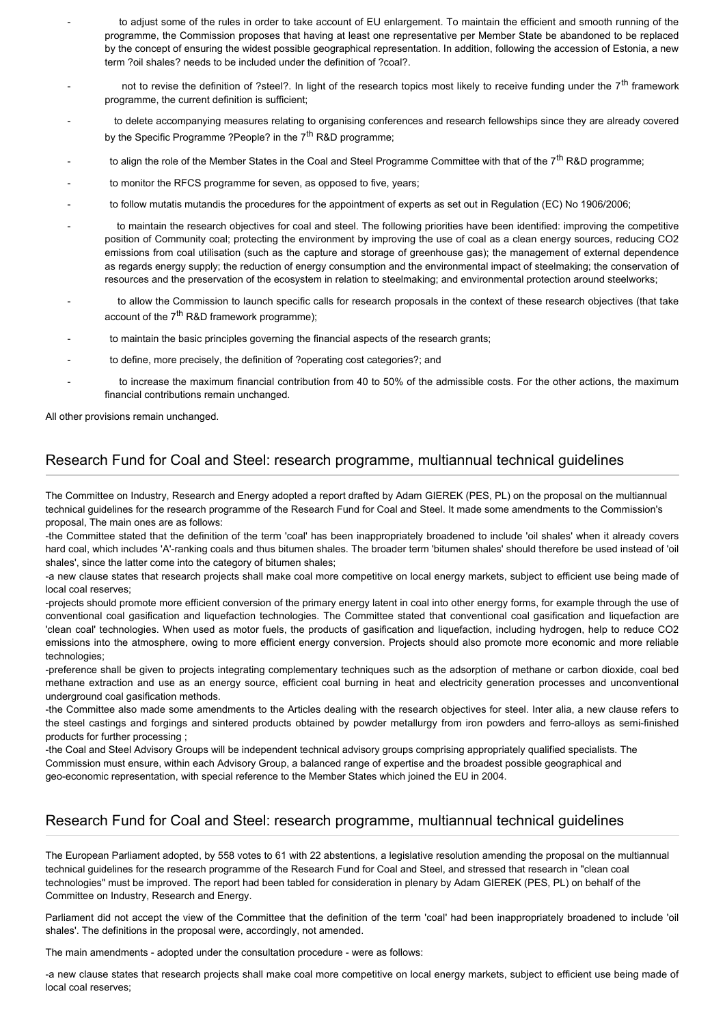- to adjust some of the rules in order to take account of EU enlargement. To maintain the efficient and smooth running of the programme, the Commission proposes that having at least one representative per Member State be abandoned to be replaced by the concept of ensuring the widest possible geographical representation. In addition, following the accession of Estonia, a new term ?oil shales? needs to be included under the definition of ?coal?.
- not to revise the definition of ?steel?. In light of the research topics most likely to receive funding under the 7<sup>th</sup> framework programme, the current definition is sufficient;
- to delete accompanying measures relating to organising conferences and research fellowships since they are already covered by the Specific Programme ?People? in the  $7<sup>th</sup>$  R&D programme;
- to align the role of the Member States in the Coal and Steel Programme Committee with that of the 7<sup>th</sup> R&D programme;
- to monitor the RFCS programme for seven, as opposed to five, years;
- to follow mutatis mutandis the procedures for the appointment of experts as set out in Regulation (EC) No 1906/2006;
- to maintain the research objectives for coal and steel. The following priorities have been identified: improving the competitive position of Community coal; protecting the environment by improving the use of coal as a clean energy sources, reducing CO2 emissions from coal utilisation (such as the capture and storage of greenhouse gas); the management of external dependence as regards energy supply; the reduction of energy consumption and the environmental impact of steelmaking; the conservation of resources and the preservation of the ecosystem in relation to steelmaking; and environmental protection around steelworks;
- to allow the Commission to launch specific calls for research proposals in the context of these research objectives (that take account of the  $7<sup>th</sup>$  R&D framework programme):
- to maintain the basic principles governing the financial aspects of the research grants;
- to define, more precisely, the definition of ?operating cost categories?; and
	- to increase the maximum financial contribution from 40 to 50% of the admissible costs. For the other actions, the maximum financial contributions remain unchanged.

All other provisions remain unchanged.

#### Research Fund for Coal and Steel: research programme, multiannual technical guidelines

The Committee on Industry, Research and Energy adopted a report drafted by Adam GIEREK (PES, PL) on the proposal on the multiannual technical guidelines for the research programme of the Research Fund for Coal and Steel. It made some amendments to the Commission's proposal, The main ones are as follows:

-the Committee stated that the definition of the term 'coal' has been inappropriately broadened to include 'oil shales' when it already covers hard coal, which includes 'A'-ranking coals and thus bitumen shales. The broader term 'bitumen shales' should therefore be used instead of 'oil shales', since the latter come into the category of bitumen shales;

-a new clause states that research projects shall make coal more competitive on local energy markets, subject to efficient use being made of local coal reserves;

-projects should promote more efficient conversion of the primary energy latent in coal into other energy forms, for example through the use of conventional coal gasification and liquefaction technologies. The Committee stated that conventional coal gasification and liquefaction are 'clean coal' technologies. When used as motor fuels, the products of gasification and liquefaction, including hydrogen, help to reduce CO2 emissions into the atmosphere, owing to more efficient energy conversion. Projects should also promote more economic and more reliable technologies;

-preference shall be given to projects integrating complementary techniques such as the adsorption of methane or carbon dioxide, coal bed methane extraction and use as an energy source, efficient coal burning in heat and electricity generation processes and unconventional underground coal gasification methods.

-the Committee also made some amendments to the Articles dealing with the research objectives for steel. Inter alia, a new clause refers to the steel castings and forgings and sintered products obtained by powder metallurgy from iron powders and ferro-alloys as semi-finished products for further processing ;

-the Coal and Steel Advisory Groups will be independent technical advisory groups comprising appropriately qualified specialists. The Commission must ensure, within each Advisory Group, a balanced range of expertise and the broadest possible geographical and geo-economic representation, with special reference to the Member States which joined the EU in 2004.

### Research Fund for Coal and Steel: research programme, multiannual technical guidelines

The European Parliament adopted, by 558 votes to 61 with 22 abstentions, a legislative resolution amending the proposal on the multiannual technical guidelines for the research programme of the Research Fund for Coal and Steel, and stressed that research in "clean coal technologies" must be improved. The report had been tabled for consideration in plenary by Adam GIEREK (PES, PL) on behalf of the Committee on Industry, Research and Energy.

Parliament did not accept the view of the Committee that the definition of the term 'coal' had been inappropriately broadened to include 'oil shales'. The definitions in the proposal were, accordingly, not amended.

The main amendments - adopted under the consultation procedure - were as follows:

-a new clause states that research projects shall make coal more competitive on local energy markets, subject to efficient use being made of local coal reserves;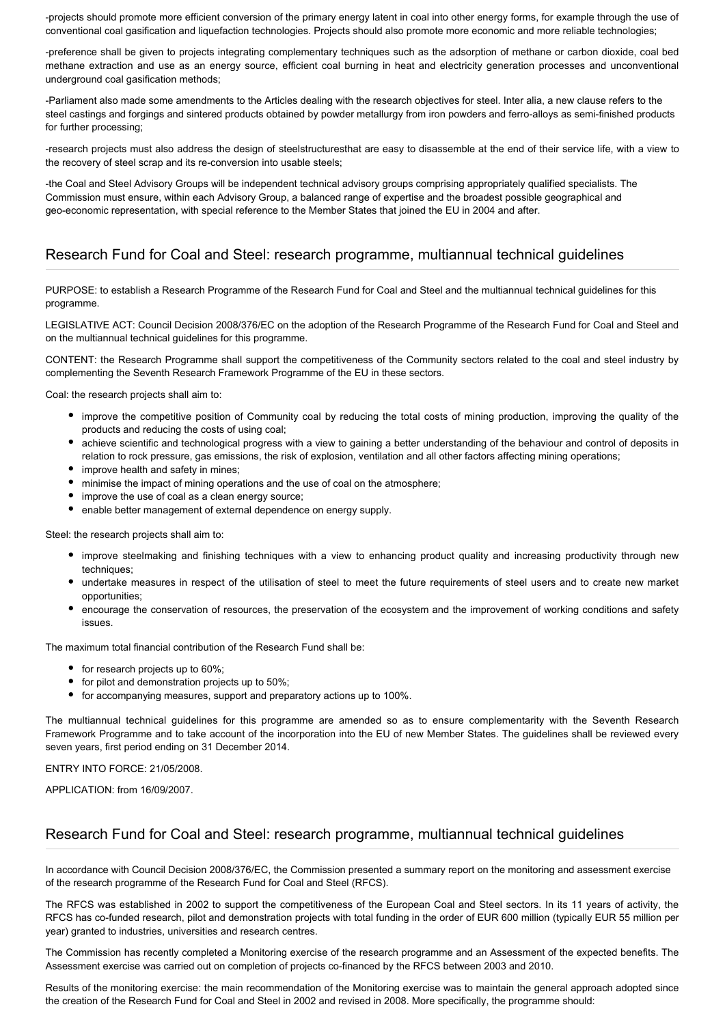-projects should promote more efficient conversion of the primary energy latent in coal into other energy forms, for example through the use of conventional coal gasification and liquefaction technologies. Projects should also promote more economic and more reliable technologies;

-preference shall be given to projects integrating complementary techniques such as the adsorption of methane or carbon dioxide, coal bed methane extraction and use as an energy source, efficient coal burning in heat and electricity generation processes and unconventional underground coal gasification methods;

-Parliament also made some amendments to the Articles dealing with the research objectives for steel. Inter alia, a new clause refers to the steel castings and forgings and sintered products obtained by powder metallurgy from iron powders and ferro-alloys as semi-finished products for further processing;

-research projects must also address the design of steelstructuresthat are easy to disassemble at the end of their service life, with a view to the recovery of steel scrap and its re-conversion into usable steels;

-the Coal and Steel Advisory Groups will be independent technical advisory groups comprising appropriately qualified specialists. The Commission must ensure, within each Advisory Group, a balanced range of expertise and the broadest possible geographical and geo-economic representation, with special reference to the Member States that joined the EU in 2004 and after.

## Research Fund for Coal and Steel: research programme, multiannual technical guidelines

PURPOSE: to establish a Research Programme of the Research Fund for Coal and Steel and the multiannual technical guidelines for this programme.

LEGISLATIVE ACT: Council Decision 2008/376/EC on the adoption of the Research Programme of the Research Fund for Coal and Steel and on the multiannual technical guidelines for this programme.

CONTENT: the Research Programme shall support the competitiveness of the Community sectors related to the coal and steel industry by complementing the Seventh Research Framework Programme of the EU in these sectors.

Coal: the research projects shall aim to:

- improve the competitive position of Community coal by reducing the total costs of mining production, improving the quality of the products and reducing the costs of using coal;
- achieve scientific and technological progress with a view to gaining a better understanding of the behaviour and control of deposits in relation to rock pressure, gas emissions, the risk of explosion, ventilation and all other factors affecting mining operations;
- improve health and safety in mines;
- minimise the impact of mining operations and the use of coal on the atmosphere;
- improve the use of coal as a clean energy source;
- enable better management of external dependence on energy supply.

Steel: the research projects shall aim to:

- improve steelmaking and finishing techniques with a view to enhancing product quality and increasing productivity through new techniques;
- undertake measures in respect of the utilisation of steel to meet the future requirements of steel users and to create new market opportunities;
- encourage the conservation of resources, the preservation of the ecosystem and the improvement of working conditions and safety issues.

The maximum total financial contribution of the Research Fund shall be:

- for research projects up to 60%;
- for pilot and demonstration projects up to 50%;
- for accompanying measures, support and preparatory actions up to 100%.

The multiannual technical guidelines for this programme are amended so as to ensure complementarity with the Seventh Research Framework Programme and to take account of the incorporation into the EU of new Member States. The guidelines shall be reviewed every seven years, first period ending on 31 December 2014.

ENTRY INTO FORCE: 21/05/2008.

APPLICATION: from 16/09/2007.

#### Research Fund for Coal and Steel: research programme, multiannual technical guidelines

In accordance with Council Decision 2008/376/EC, the Commission presented a summary report on the monitoring and assessment exercise of the research programme of the Research Fund for Coal and Steel (RFCS).

The RFCS was established in 2002 to support the competitiveness of the European Coal and Steel sectors. In its 11 years of activity, the RFCS has co-funded research, pilot and demonstration projects with total funding in the order of EUR 600 million (typically EUR 55 million per year) granted to industries, universities and research centres.

The Commission has recently completed a Monitoring exercise of the research programme and an Assessment of the expected benefits. The Assessment exercise was carried out on completion of projects co-financed by the RFCS between 2003 and 2010.

Results of the monitoring exercise: the main recommendation of the Monitoring exercise was to maintain the general approach adopted since the creation of the Research Fund for Coal and Steel in 2002 and revised in 2008. More specifically, the programme should: